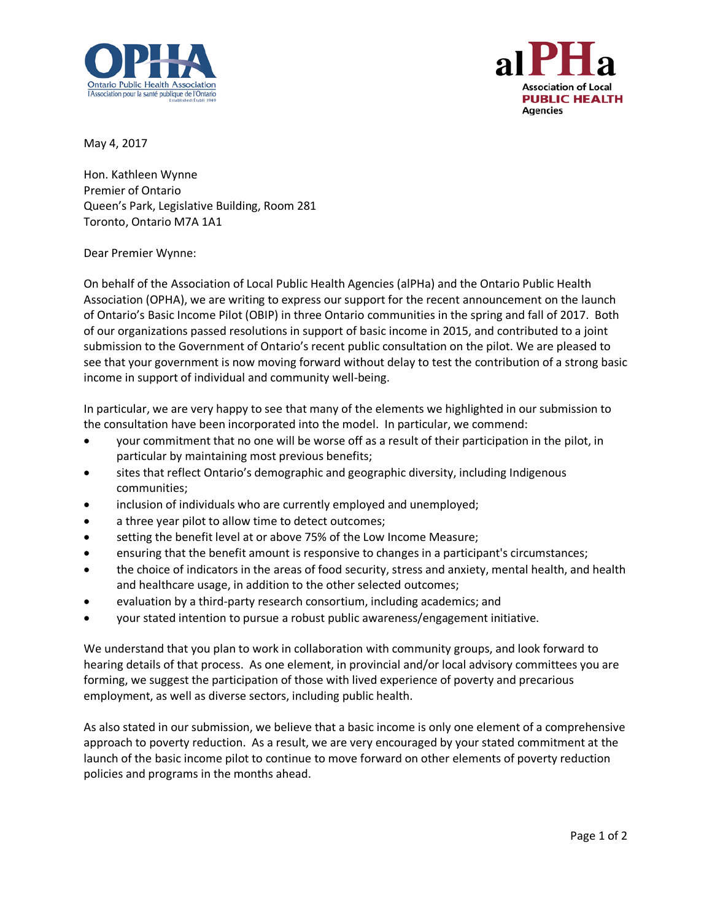



May 4, 2017

Hon. Kathleen Wynne Premier of Ontario Queen's Park, Legislative Building, Room 281 Toronto, Ontario M7A 1A1

## Dear Premier Wynne:

On behalf of the Association of Local Public Health Agencies (alPHa) and the Ontario Public Health Association (OPHA), we are writing to express our support for the recent announcement on the launch of Ontario's Basic Income Pilot (OBIP) in three Ontario communities in the spring and fall of 2017. Both of our organizations passed resolutions in support of basic income in 2015, and contributed to a joint submission to the Government of Ontario's recent public consultation on the pilot. We are pleased to see that your government is now moving forward without delay to test the contribution of a strong basic income in support of individual and community well-being.

In particular, we are very happy to see that many of the elements we highlighted in our submission to the consultation have been incorporated into the model. In particular, we commend:

- your commitment that no one will be worse off as a result of their participation in the pilot, in particular by maintaining most previous benefits;
- sites that reflect Ontario's demographic and geographic diversity, including Indigenous communities;
- inclusion of individuals who are currently employed and unemployed;
- a three year pilot to allow time to detect outcomes;
- setting the benefit level at or above 75% of the Low Income Measure;
- ensuring that the benefit amount is responsive to changes in a participant's circumstances;
- the choice of indicators in the areas of food security, stress and anxiety, mental health, and health and healthcare usage, in addition to the other selected outcomes;
- evaluation by a third-party research consortium, including academics; and
- your stated intention to pursue a robust public awareness/engagement initiative.

We understand that you plan to work in collaboration with community groups, and look forward to hearing details of that process. As one element, in provincial and/or local advisory committees you are forming, we suggest the participation of those with lived experience of poverty and precarious employment, as well as diverse sectors, including public health.

As also stated in our submission, we believe that a basic income is only one element of a comprehensive approach to poverty reduction. As a result, we are very encouraged by your stated commitment at the launch of the basic income pilot to continue to move forward on other elements of poverty reduction policies and programs in the months ahead.